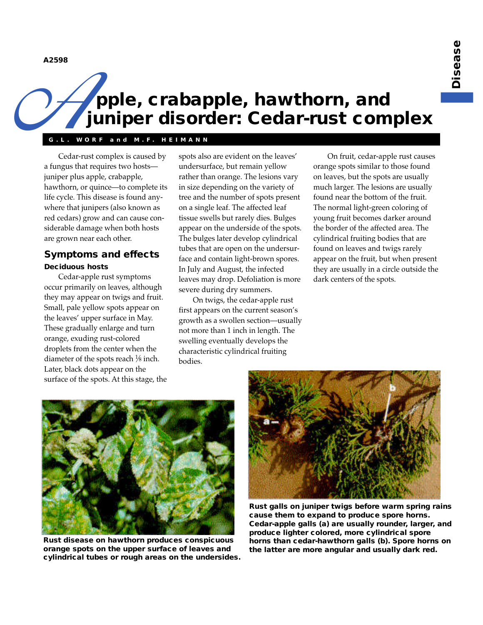**A2598**

# **pple, crabapple, hawthorn, and juniper disorder: Cedar-rust complex** A2598

## **G.L. WORF and M.F . HEIMANN**

Cedar-rust complex is caused by a fungus that requires two hosts juniper plus apple, crabapple, hawthorn, or quince—to complete its life cycle. This disease is found anywhere that junipers (also known as red cedars) grow and can cause considerable damage when both hosts are grown near each other.

## **Symptoms and effects Deciduous hosts**

Cedar-apple rust symptoms occur primarily on leaves, although they may appear on twigs and fruit. Small, pale yellow spots appear on the leaves' upper surface in May. These gradually enlarge and turn orange, exuding rust-colored droplets from the center when the diameter of the spots reach  $\frac{1}{8}$  inch. Later, black dots appear on the

surface of the spots. At this stage, the

spots also are evident on the leaves' undersurface, but remain yellow rather than orange. The lesions vary in size depending on the variety of tree and the number of spots present on a single leaf. The affected leaf tissue swells but rarely dies. Bulges appear on the underside of the spots. The bulges later develop cylindrical tubes that are open on the undersurface and contain light-brown spores. In July and August, the infected leaves may drop. Defoliation is more severe during dry summers.

On twigs, the cedar-apple rust first appears on the current season's growth as a swollen section—usually not more than 1 inch in length. The swelling eventually develops the characteristic cylindrical fruiting bodies.

On fruit, cedar-apple rust causes orange spots similar to those found on leaves, but the spots are usually much larger. The lesions are usually found near the bottom of the fruit. The normal light-green coloring of young fruit becomes darker around the border of the affected area. The cylindrical fruiting bodies that are found on leaves and twigs rarely appear on the fruit, but when present they are usually in a circle outside the dark centers of the spots.



**Rust disease on hawthorn produces conspicuous orange spots on the upper surface of leaves and cylindrical tubes or rough areas on the undersides.**



**Rust galls on juniper twigs before warm spring rains cause them to expand to produce spore horns. Cedar-apple galls (a) are usually rounder, larger, and produce lighter colored, more cylindrical spore horns than cedar-hawthorn galls (b). Spore horns on the latter are more angular and usually dark red.**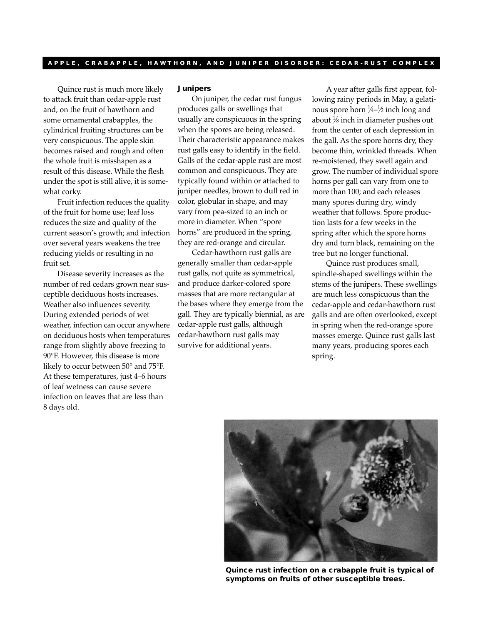Quince rust is much more likely to attack fruit than cedar-apple rust and, on the fruit of hawthorn and some ornamental crabapples, the cylindrical fruiting structures can be very conspicuous. The apple skin becomes raised and rough and often the whole fruit is misshapen as a result of this disease. While the flesh under the spot is still alive, it is somewhat corky.

Fruit infection reduces the quality of the fruit for home use; leaf loss reduces the size and quality of the current season's growth; and infection over several years weakens the tree reducing yields or resulting in no fruit set.

Disease severity increases as the number of red cedars grown near susceptible deciduous hosts increases. Weather also influences severity. During extended periods of wet weather, infection can occur anywhere on deciduous hosts when temperatures range from slightly above freezing to 90°F. However, this disease is more likely to occur between 50° and 75°F. At these temperatures, just 4–6 hours of leaf wetness can cause severe infection on leaves that are less than 8 days old.

#### **Junipers**

On juniper, the cedar rust fungus produces galls or swellings that usually are conspicuous in the spring when the spores are being released. Their characteristic appearance makes rust galls easy to identify in the field. Galls of the cedar-apple rust are most common and conspicuous. They are typically found within or attached to juniper needles, brown to dull red in color, globular in shape, and may vary from pea-sized to an inch or more in diameter. When "spore horns" are produced in the spring, they are red-orange and circular.

Cedar-hawthorn rust galls are generally smaller than cedar-apple rust galls, not quite as symmetrical, and produce darker-colored spore masses that are more rectangular at the bases where they emerge from the gall. They are typically biennial, as are cedar-apple rust galls, although cedar-hawthorn rust galls may survive for additional years.

A year after galls first appear, following rainy periods in May, a gelatinous spore horn 1 ⁄4–<sup>1</sup> ⁄2 inch long and about 1 ⁄8 inch in diameter pushes out from the center of each depression in the gall. As the spore horns dry, they become thin, wrinkled threads. When re-moistened, they swell again and grow. The number of individual spore horns per gall can vary from one to more than 100; and each releases many spores during dry, windy weather that follows. Spore production lasts for a few weeks in the spring after which the spore horns dry and turn black, remaining on the tree but no longer functional.

Quince rust produces small, spindle-shaped swellings within the stems of the junipers. These swellings are much less conspicuous than the cedar-apple and cedar-hawthorn rust galls and are often overlooked, except in spring when the red-orange spore masses emerge. Quince rust galls last many years, producing spores each spring.



**Quince rust infection on a crabapple fruit is typical of symptoms on fruits of other susceptible trees.**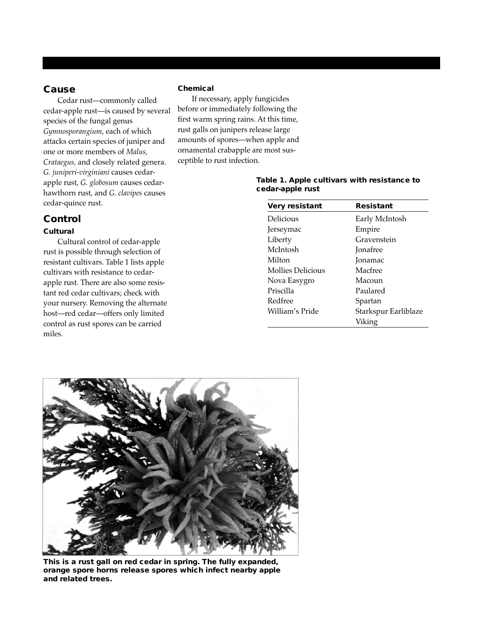### **Cause**

Cedar rust—commonly called cedar-apple rust—is caused by several species of the fungal genus *Gymnosporangium*, each of which attacks certain species of juniper and one or more members of *Malus, Crataegus,* and closely related genera. *G. juniperi-virginiani* causes cedarapple rust, *G. globosum* causes cedarhawthorn rust, and *G. clavipes* causes cedar-quince rust.

# **Control**

### **Cultural**

Cultural control of cedar-apple rust is possible through selection of resistant cultivars. Table 1 lists apple cultivars with resistance to cedarapple rust. There are also some resistant red cedar cultivars; check with your nursery. Removing the alternate host—red cedar—offers only limited control as rust spores can be carried miles.

#### **Chemical**

If necessary, apply fungicides before or immediately following the first warm spring rains. At this time, rust galls on junipers release large amounts of spores—when apple and ornamental crabapple are most susceptible to rust infection.

| Very resistant    | <b>Resistant</b>     |
|-------------------|----------------------|
| Delicious         | Early McIntosh       |
| Jerseymac         | Empire               |
| Liberty           | Gravenstein          |
| McIntosh          | <b>Jonafree</b>      |
| Milton            | <b>Jonamac</b>       |
| Mollies Delicious | Macfree              |
| Nova Easygro      | Macoun               |
| Priscilla         | Paulared             |
| Redfree           | Spartan              |
| William's Pride   | Starkspur Earliblaze |
|                   | Viking               |





**This is a rust gall on red cedar in spring. The fully expanded, orange spore horns release spores which infect nearby apple and related trees.**